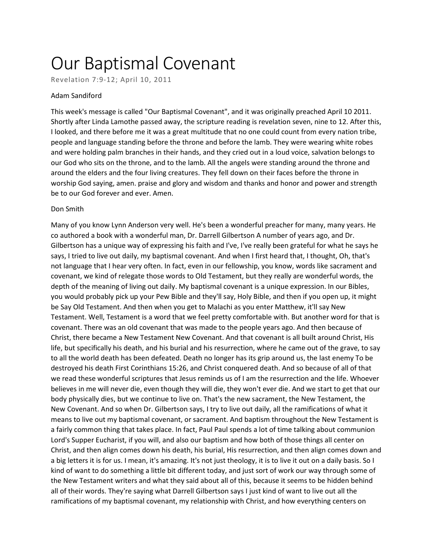## Our Baptismal Covenant

Revelation 7:9-12; April 10, 2011

## Adam Sandiford

This week's message is called "Our Baptismal Covenant", and it was originally preached April 10 2011. Shortly after Linda Lamothe passed away, the scripture reading is revelation seven, nine to 12. After this, I looked, and there before me it was a great multitude that no one could count from every nation tribe, people and language standing before the throne and before the lamb. They were wearing white robes and were holding palm branches in their hands, and they cried out in a loud voice, salvation belongs to our God who sits on the throne, and to the lamb. All the angels were standing around the throne and around the elders and the four living creatures. They fell down on their faces before the throne in worship God saying, amen. praise and glory and wisdom and thanks and honor and power and strength be to our God forever and ever. Amen.

## Don Smith

Many of you know Lynn Anderson very well. He's been a wonderful preacher for many, many years. He co authored a book with a wonderful man, Dr. Darrell Gilbertson A number of years ago, and Dr. Gilbertson has a unique way of expressing his faith and I've, I've really been grateful for what he says he says, I tried to live out daily, my baptismal covenant. And when I first heard that, I thought, Oh, that's not language that I hear very often. In fact, even in our fellowship, you know, words like sacrament and covenant, we kind of relegate those words to Old Testament, but they really are wonderful words, the depth of the meaning of living out daily. My baptismal covenant is a unique expression. In our Bibles, you would probably pick up your Pew Bible and they'll say, Holy Bible, and then if you open up, it might be Say Old Testament. And then when you get to Malachi as you enter Matthew, it'll say New Testament. Well, Testament is a word that we feel pretty comfortable with. But another word for that is covenant. There was an old covenant that was made to the people years ago. And then because of Christ, there became a New Testament New Covenant. And that covenant is all built around Christ, His life, but specifically his death, and his burial and his resurrection, where he came out of the grave, to say to all the world death has been defeated. Death no longer has its grip around us, the last enemy To be destroyed his death First Corinthians 15:26, and Christ conquered death. And so because of all of that we read these wonderful scriptures that Jesus reminds us of I am the resurrection and the life. Whoever believes in me will never die, even though they will die, they won't ever die. And we start to get that our body physically dies, but we continue to live on. That's the new sacrament, the New Testament, the New Covenant. And so when Dr. Gilbertson says, I try to live out daily, all the ramifications of what it means to live out my baptismal covenant, or sacrament. And baptism throughout the New Testament is a fairly common thing that takes place. In fact, Paul Paul spends a lot of time talking about communion Lord's Supper Eucharist, if you will, and also our baptism and how both of those things all center on Christ, and then align comes down his death, his burial, His resurrection, and then align comes down and a big letters it is for us. I mean, it's amazing. It's not just theology, it is to live it out on a daily basis. So I kind of want to do something a little bit different today, and just sort of work our way through some of the New Testament writers and what they said about all of this, because it seems to be hidden behind all of their words. They're saying what Darrell Gilbertson says I just kind of want to live out all the ramifications of my baptismal covenant, my relationship with Christ, and how everything centers on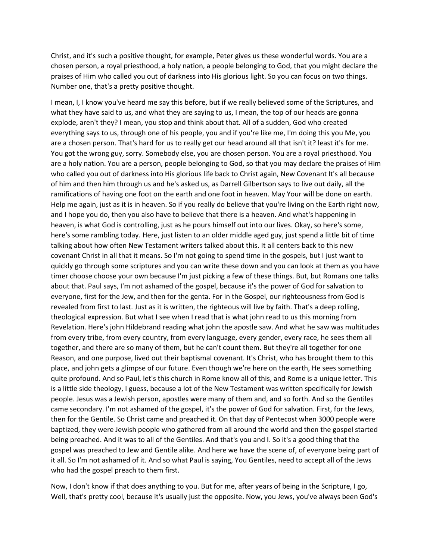Christ, and it's such a positive thought, for example, Peter gives us these wonderful words. You are a chosen person, a royal priesthood, a holy nation, a people belonging to God, that you might declare the praises of Him who called you out of darkness into His glorious light. So you can focus on two things. Number one, that's a pretty positive thought.

I mean, I, I know you've heard me say this before, but if we really believed some of the Scriptures, and what they have said to us, and what they are saying to us, I mean, the top of our heads are gonna explode, aren't they? I mean, you stop and think about that. All of a sudden, God who created everything says to us, through one of his people, you and if you're like me, I'm doing this you Me, you are a chosen person. That's hard for us to really get our head around all that isn't it? least it's for me. You got the wrong guy, sorry. Somebody else, you are chosen person. You are a royal priesthood. You are a holy nation. You are a person, people belonging to God, so that you may declare the praises of Him who called you out of darkness into His glorious life back to Christ again, New Covenant It's all because of him and then him through us and he's asked us, as Darrell Gilbertson says to live out daily, all the ramifications of having one foot on the earth and one foot in heaven. May Your will be done on earth. Help me again, just as it is in heaven. So if you really do believe that you're living on the Earth right now, and I hope you do, then you also have to believe that there is a heaven. And what's happening in heaven, is what God is controlling, just as he pours himself out into our lives. Okay, so here's some, here's some rambling today. Here, just listen to an older middle aged guy, just spend a little bit of time talking about how often New Testament writers talked about this. It all centers back to this new covenant Christ in all that it means. So I'm not going to spend time in the gospels, but I just want to quickly go through some scriptures and you can write these down and you can look at them as you have timer choose choose your own because I'm just picking a few of these things. But, but Romans one talks about that. Paul says, I'm not ashamed of the gospel, because it's the power of God for salvation to everyone, first for the Jew, and then for the genta. For in the Gospel, our righteousness from God is revealed from first to last. Just as it is written, the righteous will live by faith. That's a deep rolling, theological expression. But what I see when I read that is what john read to us this morning from Revelation. Here's john Hildebrand reading what john the apostle saw. And what he saw was multitudes from every tribe, from every country, from every language, every gender, every race, he sees them all together, and there are so many of them, but he can't count them. But they're all together for one Reason, and one purpose, lived out their baptismal covenant. It's Christ, who has brought them to this place, and john gets a glimpse of our future. Even though we're here on the earth, He sees something quite profound. And so Paul, let's this church in Rome know all of this, and Rome is a unique letter. This is a little side theology, I guess, because a lot of the New Testament was written specifically for Jewish people. Jesus was a Jewish person, apostles were many of them and, and so forth. And so the Gentiles came secondary. I'm not ashamed of the gospel, it's the power of God for salvation. First, for the Jews, then for the Gentile. So Christ came and preached it. On that day of Pentecost when 3000 people were baptized, they were Jewish people who gathered from all around the world and then the gospel started being preached. And it was to all of the Gentiles. And that's you and I. So it's a good thing that the gospel was preached to Jew and Gentile alike. And here we have the scene of, of everyone being part of it all. So I'm not ashamed of it. And so what Paul is saying, You Gentiles, need to accept all of the Jews who had the gospel preach to them first.

Now, I don't know if that does anything to you. But for me, after years of being in the Scripture, I go, Well, that's pretty cool, because it's usually just the opposite. Now, you Jews, you've always been God's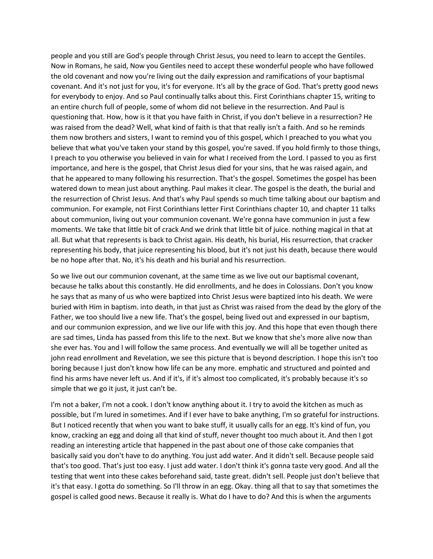people and you still are God's people through Christ Jesus, you need to learn to accept the Gentiles. Now in Romans, he said, Now you Gentiles need to accept these wonderful people who have followed the old covenant and now you're living out the daily expression and ramifications of your baptismal covenant. And it's not just for you, it's for everyone. It's all by the grace of God. That's pretty good news for everybody to enjoy. And so Paul continually talks about this. First Corinthians chapter 15, writing to an entire church full of people, some of whom did not believe in the resurrection. And Paul is questioning that. How, how is it that you have faith in Christ, if you don't believe in a resurrection? He was raised from the dead? Well, what kind of faith is that that really isn't a faith. And so he reminds them now brothers and sisters, I want to remind you of this gospel, which I preached to you what you believe that what you've taken your stand by this gospel, you're saved. If you hold firmly to those things, I preach to you otherwise you believed in vain for what I received from the Lord. I passed to you as first importance, and here is the gospel, that Christ Jesus died for your sins, that he was raised again, and that he appeared to many following his resurrection. That's the gospel. Sometimes the gospel has been watered down to mean just about anything. Paul makes it clear. The gospel is the death, the burial and the resurrection of Christ Jesus. And that's why Paul spends so much time talking about our baptism and communion. For example, not First Corinthians letter First Corinthians chapter 10, and chapter 11 talks about communion, living out your communion covenant. We're gonna have communion in just a few moments. We take that little bit of crack And we drink that little bit of juice. nothing magical in that at all. But what that represents is back to Christ again. His death, his burial, His resurrection, that cracker representing his body, that juice representing his blood, but it's not just his death, because there would be no hope after that. No, it's his death and his burial and his resurrection.

So we live out our communion covenant, at the same time as we live out our baptismal covenant, because he talks about this constantly. He did enrollments, and he does in Colossians. Don't you know he says that as many of us who were baptized into Christ Jesus were baptized into his death. We were buried with Him in baptism. into death, in that just as Christ was raised from the dead by the glory of the Father, we too should live a new life. That's the gospel, being lived out and expressed in our baptism, and our communion expression, and we live our life with this joy. And this hope that even though there are sad times, Linda has passed from this life to the next. But we know that she's more alive now than she ever has. You and I will follow the same process. And eventually we will all be together united as john read enrollment and Revelation, we see this picture that is beyond description. I hope this isn't too boring because I just don't know how life can be any more. emphatic and structured and pointed and find his arms have never left us. And if it's, if it's almost too complicated, it's probably because it's so simple that we go it just, it just can't be.

I'm not a baker, I'm not a cook. I don't know anything about it. I try to avoid the kitchen as much as possible, but I'm lured in sometimes. And if I ever have to bake anything, I'm so grateful for instructions. But I noticed recently that when you want to bake stuff, it usually calls for an egg. It's kind of fun, you know, cracking an egg and doing all that kind of stuff, never thought too much about it. And then I got reading an interesting article that happened in the past about one of those cake companies that basically said you don't have to do anything. You just add water. And it didn't sell. Because people said that's too good. That's just too easy. I just add water. I don't think it's gonna taste very good. And all the testing that went into these cakes beforehand said, taste great. didn't sell. People just don't believe that it's that easy. I gotta do something. So I'll throw in an egg. Okay. thing all that to say that sometimes the gospel is called good news. Because it really is. What do I have to do? And this is when the arguments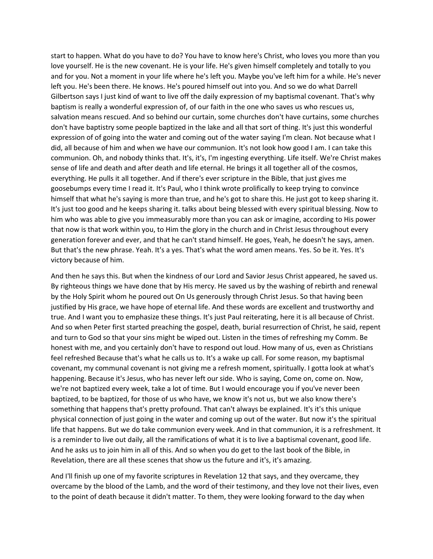start to happen. What do you have to do? You have to know here's Christ, who loves you more than you love yourself. He is the new covenant. He is your life. He's given himself completely and totally to you and for you. Not a moment in your life where he's left you. Maybe you've left him for a while. He's never left you. He's been there. He knows. He's poured himself out into you. And so we do what Darrell Gilbertson says I just kind of want to live off the daily expression of my baptismal covenant. That's why baptism is really a wonderful expression of, of our faith in the one who saves us who rescues us, salvation means rescued. And so behind our curtain, some churches don't have curtains, some churches don't have baptistry some people baptized in the lake and all that sort of thing. It's just this wonderful expression of of going into the water and coming out of the water saying I'm clean. Not because what I did, all because of him and when we have our communion. It's not look how good I am. I can take this communion. Oh, and nobody thinks that. It's, it's, I'm ingesting everything. Life itself. We're Christ makes sense of life and death and after death and life eternal. He brings it all together all of the cosmos, everything. He pulls it all together. And if there's ever scripture in the Bible, that just gives me goosebumps every time I read it. It's Paul, who I think wrote prolifically to keep trying to convince himself that what he's saying is more than true, and he's got to share this. He just got to keep sharing it. It's just too good and he keeps sharing it. talks about being blessed with every spiritual blessing. Now to him who was able to give you immeasurably more than you can ask or imagine, according to His power that now is that work within you, to Him the glory in the church and in Christ Jesus throughout every generation forever and ever, and that he can't stand himself. He goes, Yeah, he doesn't he says, amen. But that's the new phrase. Yeah. It's a yes. That's what the word amen means. Yes. So be it. Yes. It's victory because of him.

And then he says this. But when the kindness of our Lord and Savior Jesus Christ appeared, he saved us. By righteous things we have done that by His mercy. He saved us by the washing of rebirth and renewal by the Holy Spirit whom he poured out On Us generously through Christ Jesus. So that having been justified by His grace, we have hope of eternal life. And these words are excellent and trustworthy and true. And I want you to emphasize these things. It's just Paul reiterating, here it is all because of Christ. And so when Peter first started preaching the gospel, death, burial resurrection of Christ, he said, repent and turn to God so that your sins might be wiped out. Listen in the times of refreshing my Comm. Be honest with me, and you certainly don't have to respond out loud. How many of us, even as Christians feel refreshed Because that's what he calls us to. It's a wake up call. For some reason, my baptismal covenant, my communal covenant is not giving me a refresh moment, spiritually. I gotta look at what's happening. Because it's Jesus, who has never left our side. Who is saying, Come on, come on. Now, we're not baptized every week, take a lot of time. But I would encourage you if you've never been baptized, to be baptized, for those of us who have, we know it's not us, but we also know there's something that happens that's pretty profound. That can't always be explained. It's it's this unique physical connection of just going in the water and coming up out of the water. But now it's the spiritual life that happens. But we do take communion every week. And in that communion, it is a refreshment. It is a reminder to live out daily, all the ramifications of what it is to live a baptismal covenant, good life. And he asks us to join him in all of this. And so when you do get to the last book of the Bible, in Revelation, there are all these scenes that show us the future and it's, it's amazing.

And I'll finish up one of my favorite scriptures in Revelation 12 that says, and they overcame, they overcame by the blood of the Lamb, and the word of their testimony, and they love not their lives, even to the point of death because it didn't matter. To them, they were looking forward to the day when